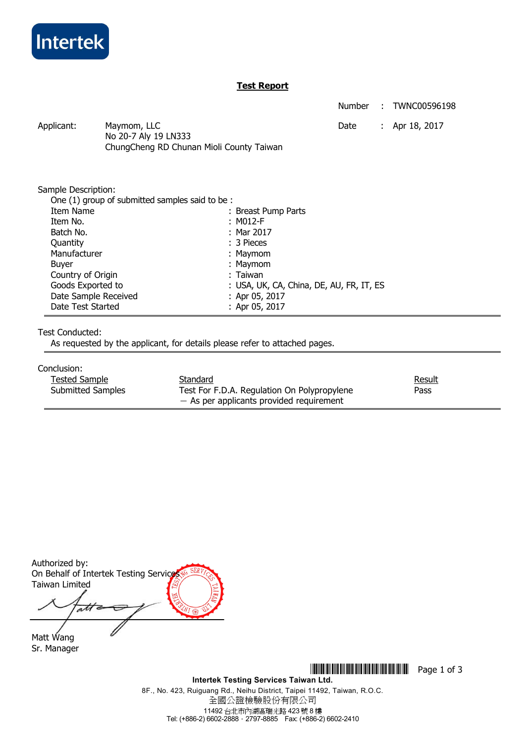

## **Test Report**

Number : TWNC00596198

Applicant: Maymom, LLC Date : Apr 18, 2017 No 20-7 Aly 19 LN333 ChungCheng RD Chunan Mioli County Taiwan

Sample Description:

| One (1) group of submitted samples said to be: |                                          |
|------------------------------------------------|------------------------------------------|
| Item Name                                      | : Breast Pump Parts                      |
| Item No.                                       | : M012-F                                 |
| Batch No.                                      | : Mar 2017                               |
| Quantity                                       | $: 3$ Pieces                             |
| Manufacturer                                   | : Maymom                                 |
| Buyer                                          | : Maymom                                 |
| Country of Origin                              | : Taiwan                                 |
| Goods Exported to                              | : USA, UK, CA, China, DE, AU, FR, IT, ES |
| Date Sample Received                           | : Apr 05, 2017                           |
| Date Test Started                              | : Apr 05, 2017                           |
|                                                |                                          |

### Test Conducted:

As requested by the applicant, for details please refer to attached pages.

#### Conclusion:

| Tested Sample            | Standard                                    | Result |
|--------------------------|---------------------------------------------|--------|
| <b>Submitted Samples</b> | Test For F.D.A. Regulation On Polypropylene | Pass   |
|                          | $-$ As per applicants provided requirement  |        |

Authorized by: On Behalf of Intertek Testing Service Taiwan Limited att

Matt Wang Sr. Manager

\*THJ0596198\* Page 1 of 3 **Intertek Testing Services Taiwan Ltd.**  8F., No. 423, Ruiguang Rd., Neihu District, Taipei 11492, Taiwan, R.O.C.

全國公證檢驗股份有限公司 11492 台北市內湖區瑞光路 423 號 8 樓 Tel: (+886-2) 6602-2888.2797-8885 Fax: (+886-2) 6602-2410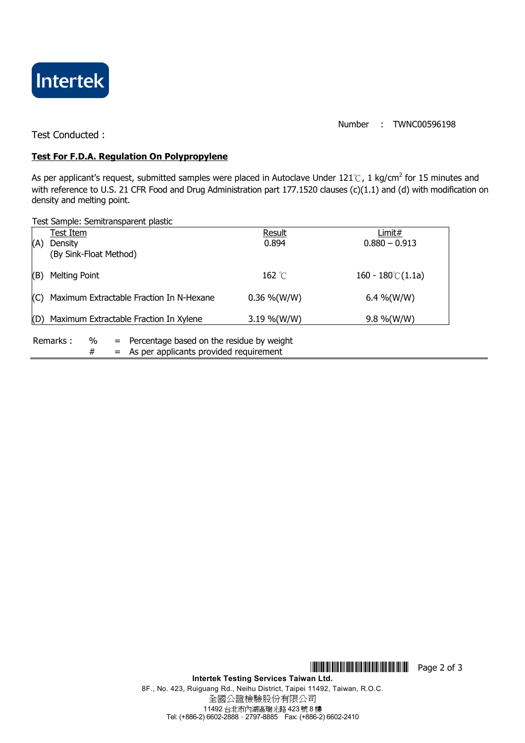

Number : TWNC00596198

Test Conducted :

## **Test For F.D.A. Regulation On Polypropylene**

As per applicant's request, submitted samples were placed in Autoclave Under 121℃, 1 kg/cm<sup>2</sup> for 15 minutes and with reference to U.S. 21 CFR Food and Drug Administration part 177.1520 clauses (c)(1.1) and (d) with modification on density and melting point.

Test Sample: Semitransparent plastic

|     | Test Item                                |                                           | Result           | Limit#                     |  |  |  |  |  |
|-----|------------------------------------------|-------------------------------------------|------------------|----------------------------|--|--|--|--|--|
| (A) | <b>Density</b>                           |                                           | 0.894            | $0.880 - 0.913$            |  |  |  |  |  |
|     | (By Sink-Float Method)                   |                                           |                  |                            |  |  |  |  |  |
|     |                                          |                                           |                  |                            |  |  |  |  |  |
|     |                                          |                                           |                  |                            |  |  |  |  |  |
| (B) | <b>Melting Point</b>                     |                                           | 162 $^{\circ}$ C | $160 - 180^{\circ}$ (1.1a) |  |  |  |  |  |
|     |                                          |                                           |                  |                            |  |  |  |  |  |
| (C) | Maximum Extractable Fraction In N-Hexane |                                           | $0.36\%$ (W/W)   | 6.4 %(W/W)                 |  |  |  |  |  |
|     |                                          |                                           |                  |                            |  |  |  |  |  |
|     |                                          |                                           |                  |                            |  |  |  |  |  |
| (D) | Maximum Extractable Fraction In Xylene   |                                           | $3.19\%$ (W/W)   | $9.8\%$ (W/W)              |  |  |  |  |  |
|     |                                          |                                           |                  |                            |  |  |  |  |  |
|     | Remarks:<br>%<br>$=$                     | Percentage based on the residue by weight |                  |                            |  |  |  |  |  |
|     | #                                        | = As per applicants provided requirement  |                  |                            |  |  |  |  |  |
|     |                                          |                                           |                  |                            |  |  |  |  |  |